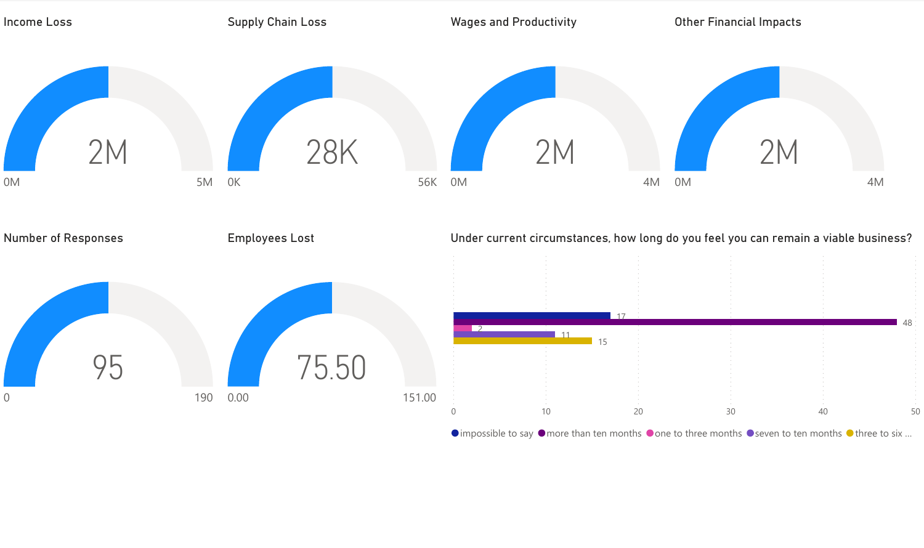

 $\bullet$  impossible to say  $\bullet$  more than ten months  $\bullet$  one to three months  $\bullet$  seven to ten months  $\bullet$  three to six ...